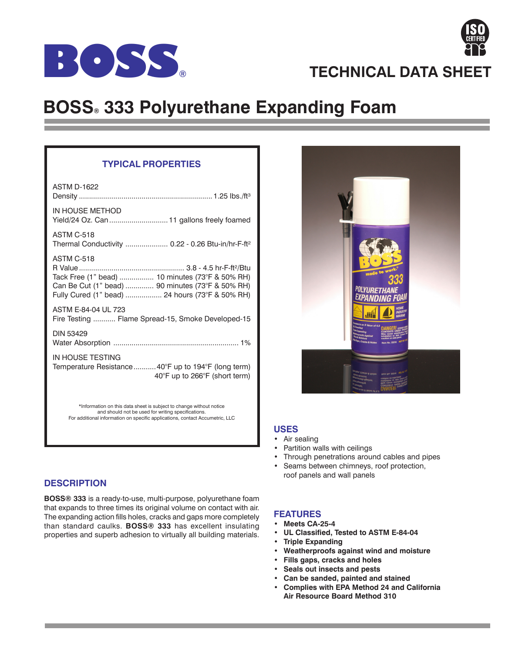



# **BOSS® 333 Polyurethane Expanding Foam**

## **TYPICAL PROPERTIES**

| <b>ASTM D-1622</b>                                                                                                                                                          |
|-----------------------------------------------------------------------------------------------------------------------------------------------------------------------------|
| IN HOUSE METHOD<br>Yield/24 Oz. Can  11 gallons freely foamed                                                                                                               |
| <b>ASTM C-518</b><br>Thermal Conductivity  0.22 - 0.26 Btu-in/hr-F-ft <sup>2</sup>                                                                                          |
| <b>ASTM C-518</b><br>Tack Free (1" bead)  10 minutes (73°F & 50% RH)<br>Can Be Cut (1" bead)  90 minutes (73°F & 50% RH)<br>Fully Cured (1" bead)  24 hours (73°F & 50% RH) |
| ASTM E-84-04 UL 723<br>Fire Testing  Flame Spread-15, Smoke Developed-15                                                                                                    |
| <b>DIN 53429</b>                                                                                                                                                            |
| IN HOUSE TESTING<br>Temperature Resistance40°F up to 194°F (long term)<br>40°F up to 266°F (short term)                                                                     |
| *Information on this data sheet is subject to change without notice                                                                                                         |

\*Information on this data sheet is subject to change without notice and should not be used for writing specifications. For additional information on specific applications, contact Accumetric, LLC



**BOSS® 333** is a ready-to-use, multi-purpose, polyurethane foam that expands to three times its original volume on contact with air. The expanding action fills holes, cracks and gaps more completely than standard caulks. **BOSS® 333** has excellent insulating properties and superb adhesion to virtually all building materials.



#### **USES**

- Air sealing
- Partition walls with ceilings
- Through penetrations around cables and pipes
- Seams between chimneys, roof protection, roof panels and wall panels

### **FEATURES**

- **Meets CA-25-4**
- **UL Classified, Tested to ASTM E-84-04**
- **Triple Expanding**
- **Weatherproofs against wind and moisture**
- **Fills gaps, cracks and holes**
- **Seals out insects and pests**
- **Can be sanded, painted and stained**
- **Complies with EPA Method 24 and California Air Resource Board Method 310**